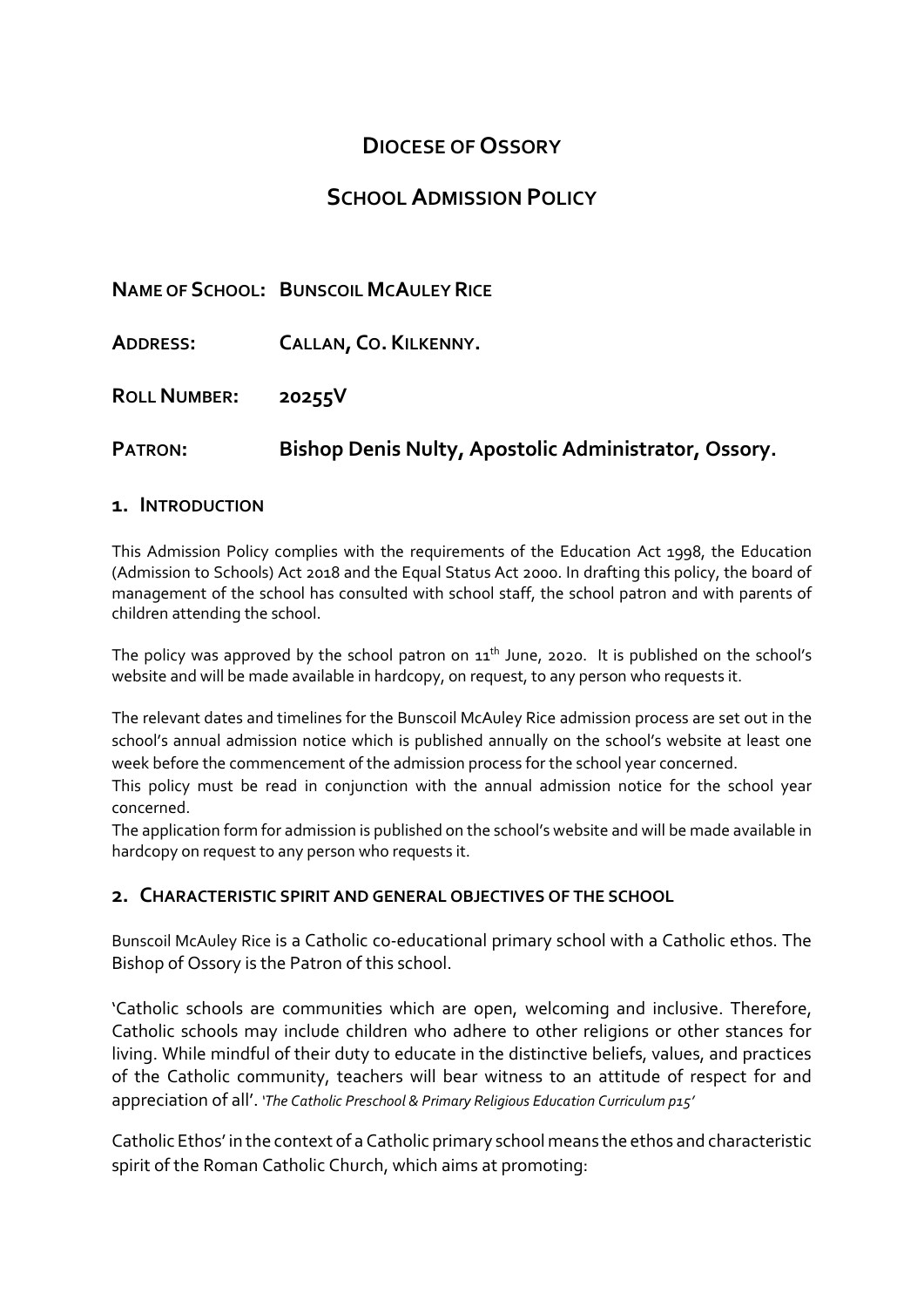# **DIOCESE OF OSSORY**

# **SCHOOL ADMISSION POLICY**

|                     | <b>NAME OF SCHOOL: BUNSCOIL MCAULEY RICE</b>         |
|---------------------|------------------------------------------------------|
| <b>ADDRESS:</b>     | CALLAN, CO. KILKENNY.                                |
| <b>ROLL NUMBER:</b> | 20255V                                               |
| <b>PATRON:</b>      | Bishop Denis Nulty, Apostolic Administrator, Ossory. |

### **1. INTRODUCTION**

This Admission Policy complies with the requirements of the Education Act 1998, the Education (Admission to Schools) Act 2018 and the Equal Status Act 2000. In drafting this policy, the board of management of the school has consulted with school staff, the school patron and with parents of children attending the school.

The policy was approved by the school patron on  $11<sup>th</sup>$  June, 2020. It is published on the school's website and will be made available in hardcopy, on request, to any person who requests it.

The relevant dates and timelines for the Bunscoil McAuley Rice admission process are set out in the school's annual admission notice which is published annually on the school's website at least one week before the commencement of the admission process for the school year concerned.

This policy must be read in conjunction with the annual admission notice for the school year concerned.

The application form for admission is published on the school's website and will be made available in hardcopy on request to any person who requests it.

### **2. CHARACTERISTIC SPIRIT AND GENERAL OBJECTIVES OF THE SCHOOL**

Bunscoil McAuley Rice is a Catholic co-educational primary school with a Catholic ethos. The Bishop of Ossory is the Patron of this school.

'Catholic schools are communities which are open, welcoming and inclusive. Therefore, Catholic schools may include children who adhere to other religions or other stances for living. While mindful of their duty to educate in the distinctive beliefs, values, and practices of the Catholic community, teachers will bear witness to an attitude of respect for and appreciation of all'. *'The Catholic Preschool & Primary Religious Education Curriculum p15'*

Catholic Ethos' in the context of a Catholic primary school means the ethos and characteristic spirit of the Roman Catholic Church, which aims at promoting: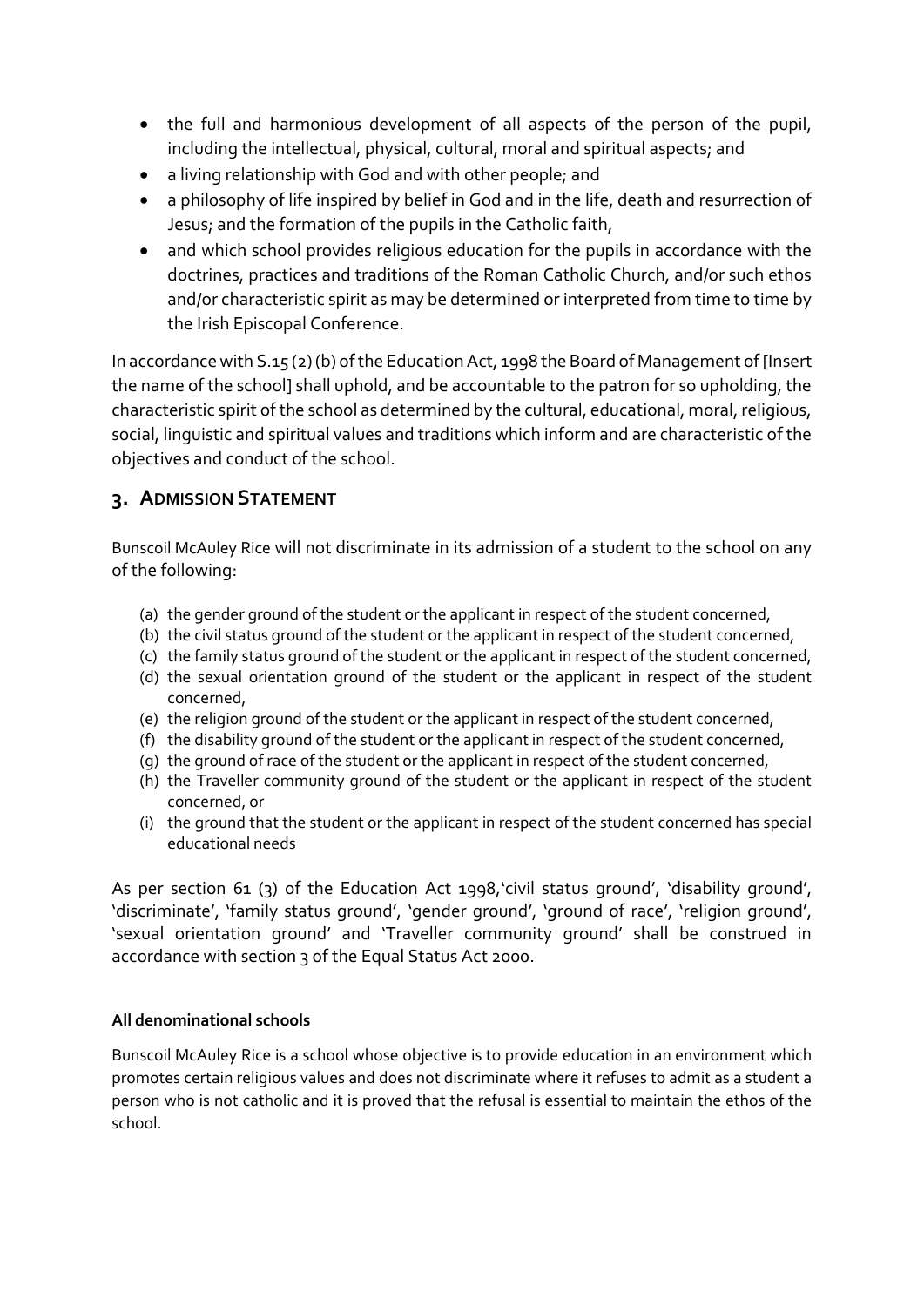- the full and harmonious development of all aspects of the person of the pupil, including the intellectual, physical, cultural, moral and spiritual aspects; and
- a living relationship with God and with other people; and
- a philosophy of life inspired by belief in God and in the life, death and resurrection of Jesus; and the formation of the pupils in the Catholic faith,
- and which school provides religious education for the pupils in accordance with the doctrines, practices and traditions of the Roman Catholic Church, and/or such ethos and/or characteristic spirit as may be determined or interpreted from time to time by the Irish Episcopal Conference.

In accordance with S.15 (2) (b) of the Education Act, 1998 the Board of Management of [Insert the name of the school] shall uphold, and be accountable to the patron for so upholding, the characteristic spirit of the school as determined by the cultural, educational, moral, religious, social, linguistic and spiritual values and traditions which inform and are characteristic of the objectives and conduct of the school.

### **3. ADMISSION STATEMENT**

Bunscoil McAuley Rice will not discriminate in its admission of a student to the school on any of the following:

- (a) the gender ground of the student or the applicant in respect of the student concerned,
- (b) the civil status ground of the student or the applicant in respect of the student concerned,
- (c) the family status ground of the student or the applicant in respect of the student concerned,
- (d) the sexual orientation ground of the student or the applicant in respect of the student concerned,
- (e) the religion ground of the student or the applicant in respect of the student concerned,
- (f) the disability ground of the student or the applicant in respect of the student concerned,
- (g) the ground of race of the student or the applicant in respect of the student concerned,
- (h) the Traveller community ground of the student or the applicant in respect of the student concerned, or
- (i) the ground that the student or the applicant in respect of the student concerned has special educational needs

As per section 61 (3) of the Education Act 1998, civil status ground', 'disability ground', 'discriminate', 'family status ground', 'gender ground', 'ground of race', 'religion ground', 'sexual orientation ground' and 'Traveller community ground' shall be construed in accordance with section 3 of the Equal Status Act 2000.

### **All denominational schools**

Bunscoil McAuley Rice is a school whose objective is to provide education in an environment which promotes certain religious values and does not discriminate where it refuses to admit as a student a person who is not catholic and it is proved that the refusal is essential to maintain the ethos of the school.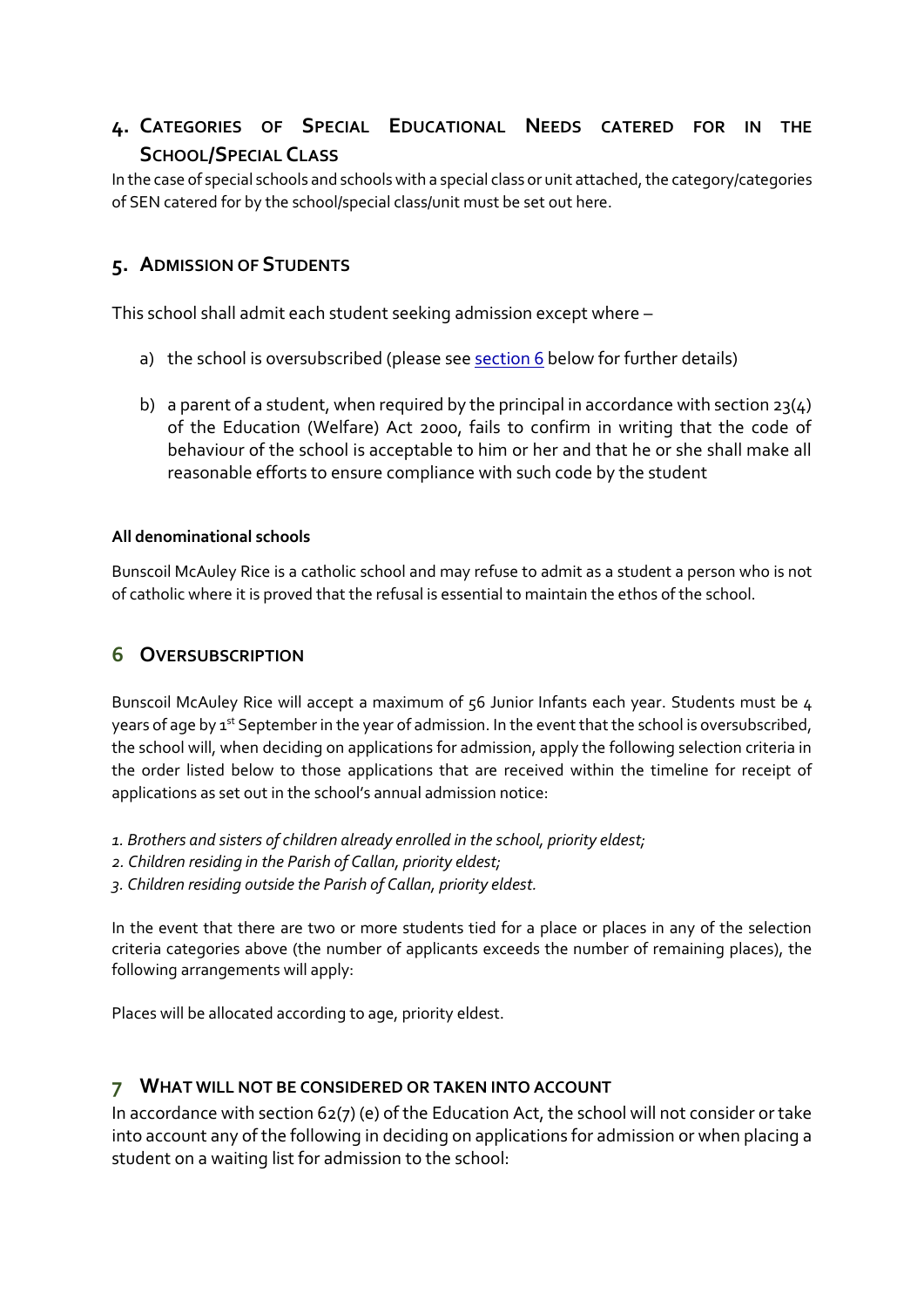## **4. CATEGORIES OF SPECIAL EDUCATIONAL NEEDS CATERED FOR IN THE SCHOOL/SPECIAL CLASS**

In the case of special schools and schools with a special class or unit attached, the category/categories of SEN catered for by the school/special class/unit must be set out here.

## **5. ADMISSION OF STUDENTS**

This school shall admit each student seeking admission except where –

- a) the school is oversubscribed (please see section  $6$  below for further details)
- b) a parent of a student, when required by the principal in accordance with section  $23(4)$ of the Education (Welfare) Act 2000, fails to confirm in writing that the code of behaviour of the school is acceptable to him or her and that he or she shall make all reasonable efforts to ensure compliance with such code by the student

#### **All denominational schools**

Bunscoil McAuley Rice is a catholic school and may refuse to admit as a student a person who is not of catholic where it is proved that the refusal is essential to maintain the ethos of the school.

### <span id="page-2-0"></span>**6 OVERSUBSCRIPTION**

Bunscoil McAuley Rice will accept a maximum of 56 Junior Infants each year. Students must be 4 years of age by 1<sup>st</sup> September in the year of admission. In the event that the school is oversubscribed, the school will, when deciding on applications for admission, apply the following selection criteria in the order listed below to those applications that are received within the timeline for receipt of applications as set out in the school's annual admission notice:

- *1. Brothers and sisters of children already enrolled in the school, priority eldest;*
- *2. Children residing in the Parish of Callan, priority eldest;*
- *3. Children residing outside the Parish of Callan, priority eldest.*

In the event that there are two or more students tied for a place or places in any of the selection criteria categories above (the number of applicants exceeds the number of remaining places), the following arrangements will apply:

Places will be allocated according to age, priority eldest.

### **7 WHAT WILL NOT BE CONSIDERED OR TAKEN INTO ACCOUNT**

In accordance with section 62(7) (e) of the Education Act, the school will not consider or take into account any of the following in deciding on applications for admission or when placing a student on a waiting list for admission to the school: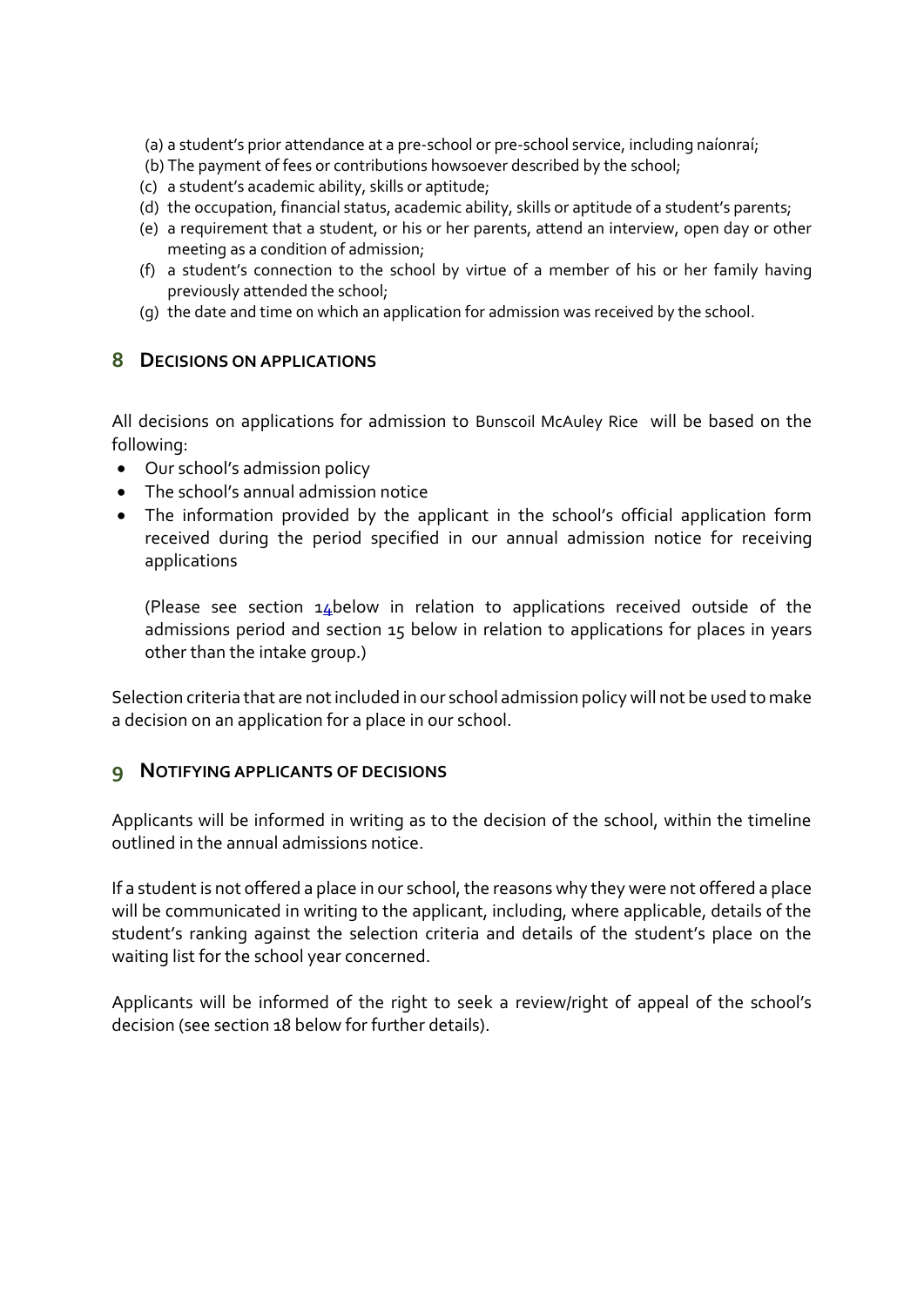- (a) a student's prior attendance at a pre-school or pre-school service, including naíonraí;
- (b) The payment of fees or contributions howsoever described by the school;
- (c) a student's academic ability, skills or aptitude;
- (d) the occupation, financial status, academic ability, skills or aptitude of a student's parents;
- (e) a requirement that a student, or his or her parents, attend an interview, open day or other meeting as a condition of admission;
- (f) a student's connection to the school by virtue of a member of his or her family having previously attended the school;
- (g) the date and time on which an application for admission was received by the school.

#### **8 DECISIONS ON APPLICATIONS**

All decisions on applications for admission to Bunscoil McAuley Rice will be based on the following:

- Our school's admission policy
- The school's annual admission notice
- The information provided by the applicant in the school's official application form received during the period specified in our annual admission notice for receiving applications

(Please see section 14below in relation to applications received outside of the admissions period and section 15 below in relation to applications for places in years other than the intake group.)

Selection criteria that are not included in our school admission policy will not be used to make a decision on an application for a place in our school.

### **9 NOTIFYING APPLICANTS OF DECISIONS**

Applicants will be informed in writing as to the decision of the school, within the timeline outlined in the annual admissions notice.

If a student is not offered a place in our school, the reasons why they were not offered a place will be communicated in writing to the applicant, including, where applicable, details of the student's ranking against the selection criteria and details of the student's place on the waiting list for the school year concerned.

Applicants will be informed of the right to seek a review/right of appeal of the school's decision (see section 18 below for further details).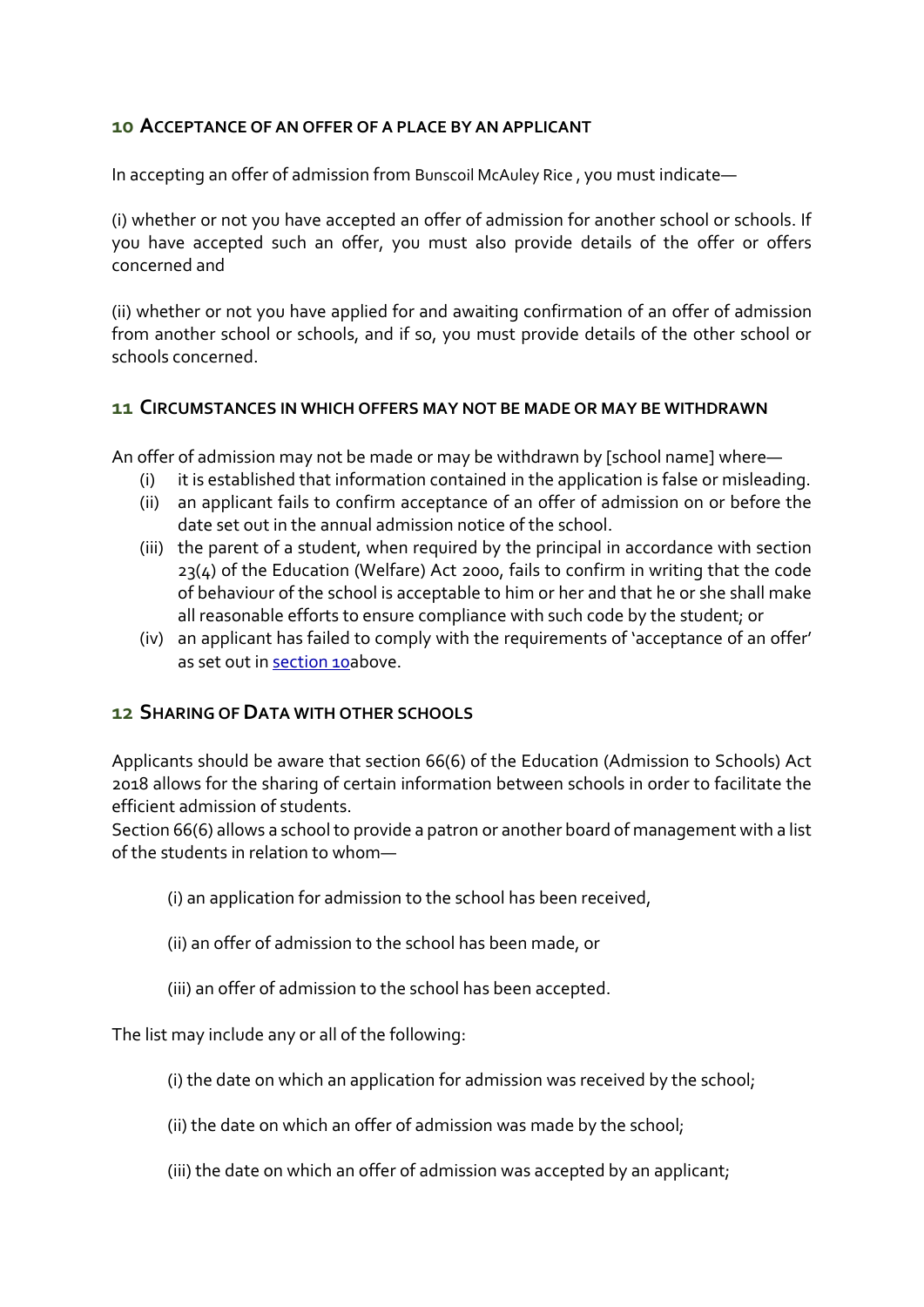### <span id="page-4-0"></span>**10 ACCEPTANCE OF AN OFFER OF A PLACE BY AN APPLICANT**

In accepting an offer of admission from Bunscoil McAuley Rice , you must indicate—

(i) whether or not you have accepted an offer of admission for another school or schools. If you have accepted such an offer, you must also provide details of the offer or offers concerned and

(ii) whether or not you have applied for and awaiting confirmation of an offer of admission from another school or schools, and if so, you must provide details of the other school or schools concerned.

#### **11 CIRCUMSTANCES IN WHICH OFFERS MAY NOT BE MADE OR MAY BE WITHDRAWN**

An offer of admission may not be made or may be withdrawn by [school name] where—

- (i) it is established that information contained in the application is false or misleading.
- (ii) an applicant fails to confirm acceptance of an offer of admission on or before the date set out in the annual admission notice of the school.
- (iii) the parent of a student, when required by the principal in accordance with section 23(4) of the Education (Welfare) Act 2000, fails to confirm in writing that the code of behaviour of the school is acceptable to him or her and that he or she shall make all reasonable efforts to ensure compliance with such code by the student; or
- (iv) an applicant has failed to comply with the requirements of 'acceptance of an offer' as set out in [section 10a](#page-4-0)bove.

### **12 SHARING OF DATA WITH OTHER SCHOOLS**

Applicants should be aware that section 66(6) of the Education (Admission to Schools) Act 2018 allows for the sharing of certain information between schools in order to facilitate the efficient admission of students.

Section 66(6) allows a school to provide a patron or another board of management with a list of the students in relation to whom—

- (i) an application for admission to the school has been received,
- (ii) an offer of admission to the school has been made, or
- (iii) an offer of admission to the school has been accepted.

The list may include any or all of the following:

- (i) the date on which an application for admission was received by the school;
- (ii) the date on which an offer of admission was made by the school;
- (iii) the date on which an offer of admission was accepted by an applicant;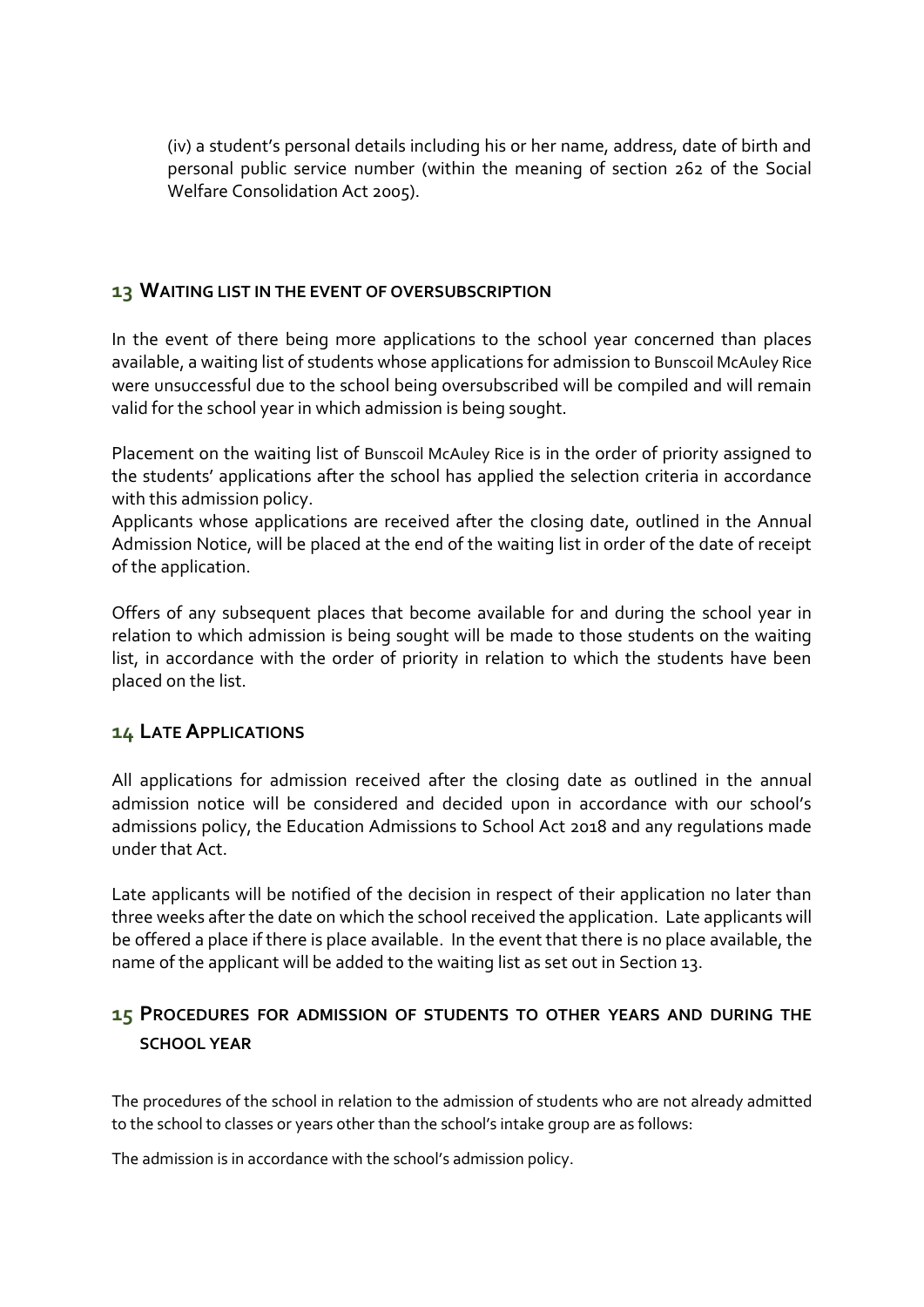(iv) a student's personal details including his or her name, address, date of birth and personal public service number (within the meaning of section 262 of the Social Welfare Consolidation Act 2005).

### **13 WAITING LIST IN THE EVENT OF OVERSUBSCRIPTION**

In the event of there being more applications to the school year concerned than places available, a waiting list of students whose applications for admission to Bunscoil McAuley Rice were unsuccessful due to the school being oversubscribed will be compiled and will remain valid for the school year in which admission is being sought.

Placement on the waiting list of Bunscoil McAuley Rice is in the order of priority assigned to the students' applications after the school has applied the selection criteria in accordance with this admission policy.

Applicants whose applications are received after the closing date, outlined in the Annual Admission Notice, will be placed at the end of the waiting list in order of the date of receipt of the application.

Offers of any subsequent places that become available for and during the school year in relation to which admission is being sought will be made to those students on the waiting list, in accordance with the order of priority in relation to which the students have been placed on the list.

### **14 LATE APPLICATIONS**

All applications for admission received after the closing date as outlined in the annual admission notice will be considered and decided upon in accordance with our school's admissions policy, the Education Admissions to School Act 2018 and any regulations made under that Act.

Late applicants will be notified of the decision in respect of their application no later than three weeks after the date on which the school received the application. Late applicants will be offered a place if there is place available. In the event that there is no place available, the name of the applicant will be added to the waiting list as set out in Section 13.

## **15 PROCEDURES FOR ADMISSION OF STUDENTS TO OTHER YEARS AND DURING THE SCHOOL YEAR**

The procedures of the school in relation to the admission of students who are not already admitted to the school to classes or years other than the school's intake group are as follows:

The admission is in accordance with the school's admission policy.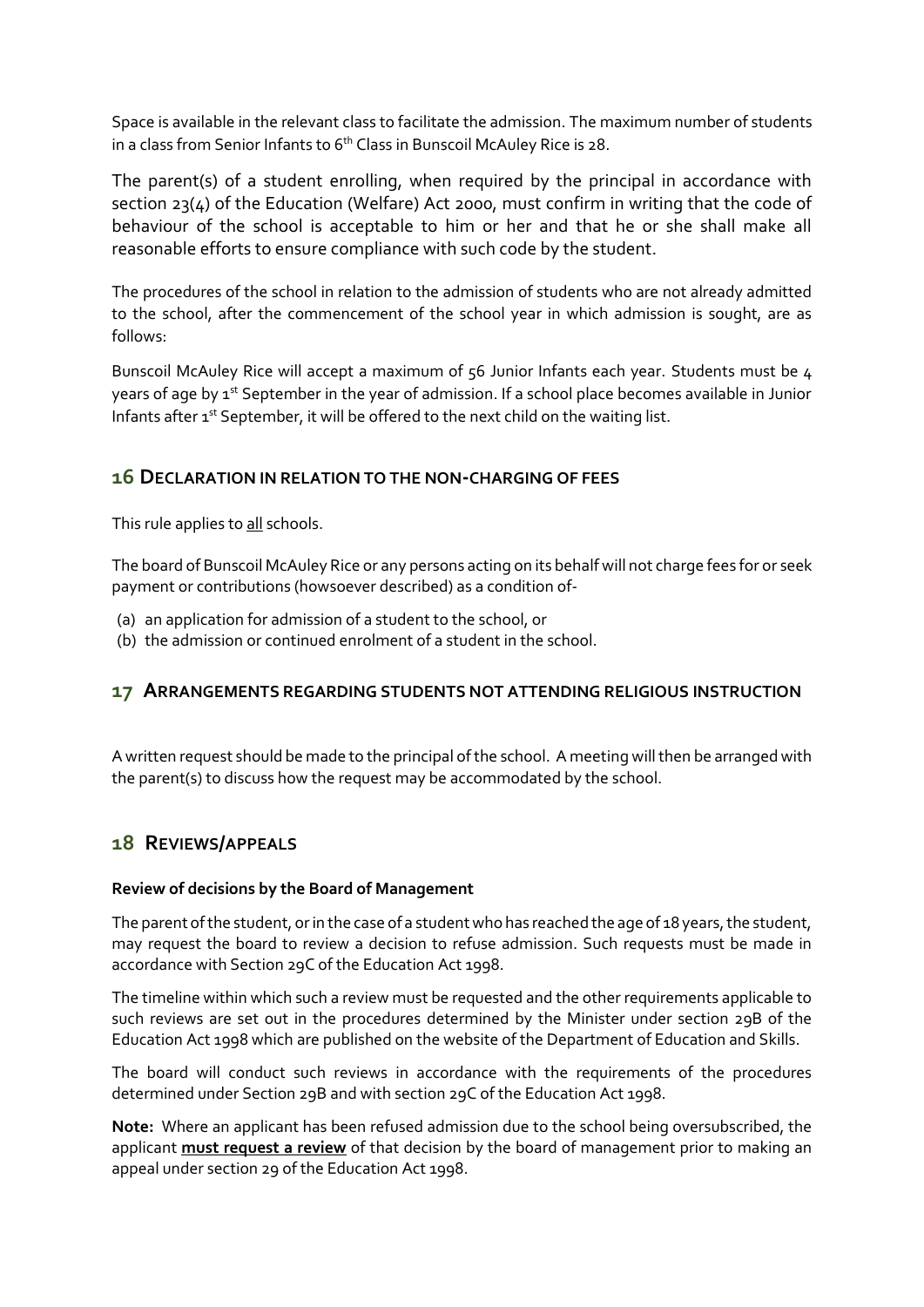Space is available in the relevant class to facilitate the admission. The maximum number of students in a class from Senior Infants to 6<sup>th</sup> Class in Bunscoil McAuley Rice is 28.

The parent(s) of a student enrolling, when required by the principal in accordance with section 23(4) of the Education (Welfare) Act 2000, must confirm in writing that the code of behaviour of the school is acceptable to him or her and that he or she shall make all reasonable efforts to ensure compliance with such code by the student.

The procedures of the school in relation to the admission of students who are not already admitted to the school, after the commencement of the school year in which admission is sought, are as follows:

Bunscoil McAuley Rice will accept a maximum of 56 Junior Infants each year. Students must be 4 years of age by 1<sup>st</sup> September in the year of admission. If a school place becomes available in Junior Infants after 1<sup>st</sup> September, it will be offered to the next child on the waiting list.

### **16 DECLARATION IN RELATION TO THE NON-CHARGING OF FEES**

This rule applies to all schools.

The board of Bunscoil McAuley Rice or any persons acting on its behalf will not charge fees for or seek payment or contributions (howsoever described) as a condition of-

- (a) an application for admission of a student to the school, or
- (b) the admission or continued enrolment of a student in the school.

### **17 ARRANGEMENTS REGARDING STUDENTS NOT ATTENDING RELIGIOUS INSTRUCTION**

A written request should be made to the principal of the school. A meeting will then be arranged with the parent(s) to discuss how the request may be accommodated by the school.

### **18 REVIEWS/APPEALS**

#### **Review of decisions by the Board of Management**

The parent of the student, or in the case of a student who has reached the age of 18 years, the student, may request the board to review a decision to refuse admission. Such requests must be made in accordance with Section 29C of the Education Act 1998.

The timeline within which such a review must be requested and the other requirements applicable to such reviews are set out in the procedures determined by the Minister under section 29B of the Education Act 1998 which are published on the website of the Department of Education and Skills.

The board will conduct such reviews in accordance with the requirements of the procedures determined under Section 29B and with section 29C of the Education Act 1998.

**Note:** Where an applicant has been refused admission due to the school being oversubscribed, the applicant **must request a review** of that decision by the board of management prior to making an appeal under section 29 of the Education Act 1998.